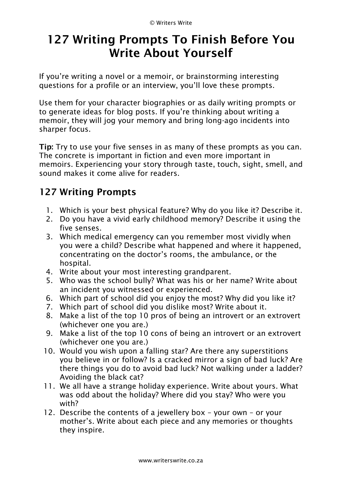## **127 Writing Prompts To Finish Before You Write About Yourself**

If you"re writing a novel or a memoir, or brainstorming interesting questions for a profile or an interview, you"ll love these [prompts.](https://writerswrite.co.za/127-prompts-to-complete-before-you-write-about-yourself/)

Use them for your character biographies or as daily writing prompts or to generate ideas for blog posts. If you"re thinking about writing a memoir, they will jog your memory and bring long-ago incidents into sharper focus.

**Tip:** Try to use your five senses in as many of these prompts as you can. The concrete is important in fiction and even more important in memoirs. Experiencing your story through taste, touch, sight, smell, and sound makes it come alive for readers.

## **127 Writing Prompts**

- 1. Which is your best physical feature? Why do you like it? Describe it.
- 2. Do you have a vivid early childhood memory? Describe it using the five senses.
- 3. Which medical emergency can you remember most vividly when you were a child? Describe what happened and where it happened, concentrating on the doctor"s rooms, the ambulance, or the hospital.
- 4. Write about your most interesting grandparent.
- 5. Who was the school bully? What was his or her name? Write about an incident you witnessed or experienced.
- 6. Which part of school did you enjoy the most? Why did you like it?
- 7. Which part of school did you dislike most? Write about it.
- 8. Make a list of the top 10 pros of being an introvert or an extrovert (whichever one you are.)
- 9. Make a list of the top 10 cons of being an introvert or an extrovert (whichever one you are.)
- 10. Would you wish upon a falling star? Are there any superstitions you believe in or follow? Is a cracked mirror a sign of bad luck? Are there things you do to avoid bad luck? Not walking under a ladder? Avoiding the black cat?
- 11. We all have a strange holiday experience. Write about yours. What was odd about the holiday? Where did you stay? Who were you with?
- 12. Describe the contents of a jewellery box your own or your mother"s. Write about each piece and any memories or thoughts they inspire.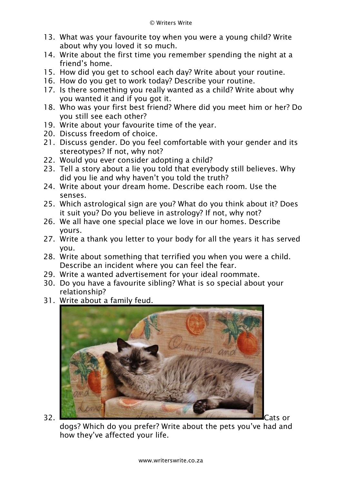- 13. What was your favourite toy when you were a young child? Write about why you loved it so much.
- 14. Write about the first time you remember spending the night at a friend"s home.
- 15. How did you get to school each day? Write about your routine.
- 16. How do you get to work today? Describe your routine.
- 17. Is there something you really wanted as a child? Write about why you wanted it and if you got it.
- 18. Who was your first best friend? Where did you meet him or her? Do you still see each other?
- 19. Write about your favourite time of the year.
- 20. Discuss freedom of choice.
- 21. Discuss gender. Do you feel comfortable with your gender and its stereotypes? If not, why not?
- 22. Would you ever consider adopting a child?
- 23. Tell a story about a lie you told that everybody still believes. Why did you lie and why haven"t you told the truth?
- 24. Write about your dream home. Describe each room. Use the senses.
- 25. Which astrological sign are you? What do you think about it? Does it suit you? Do you believe in astrology? If not, why not?
- 26. We all have one special place we love in our homes. Describe yours.
- 27. Write a thank you letter to your body for all the years it has served you.
- 28. Write about something that terrified you when you were a child. Describe an incident where you can feel the fear.
- 29. Write a wanted advertisement for your ideal roommate.
- 30. Do you have a favourite sibling? What is so special about your relationship?
- 31. Write about a family feud.



dogs? Which do you prefer? Write about the pets you"ve had and how they"ve affected your life.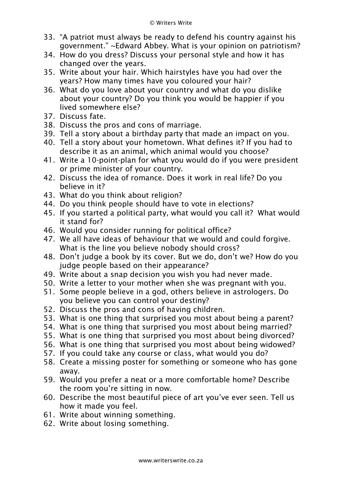- 33. "A patriot must always be ready to defend his country against his government." ~Edward Abbey. What is your opinion on patriotism?
- 34. How do you dress? Discuss your personal style and how it has changed over the years.
- 35. Write about your hair. Which hairstyles have you had over the years? How many times have you coloured your hair?
- 36. What do you love about your country and what do you dislike about your country? Do you think you would be happier if you lived somewhere else?
- 37. Discuss fate.
- 38. Discuss the pros and cons of marriage.
- 39. Tell a story about a birthday party that made an impact on you.
- 40. Tell a story about your hometown. What defines it? If you had to describe it as an animal, which animal would you choose?
- 41. Write a 10-point-plan for what you would do if you were president or prime minister of your country.
- 42. Discuss the idea of romance. Does it work in real life? Do you believe in it?
- 43. What do you think about religion?
- 44. Do you think people should have to vote in elections?
- 45. If you started a political party, what would you call it? What would it stand for?
- 46. Would you consider running for political office?
- 47. We all have ideas of behaviour that we would and could forgive. What is the line you believe nobody should cross?
- 48. Don"t judge a book by its cover. But we do, don"t we? How do you judge people based on their appearance?
- 49. Write about a snap decision you wish you had never made.
- 50. Write a letter to your mother when she was pregnant with you.
- 51. Some people believe in a god, others believe in astrologers. Do you believe you can control your destiny?
- 52. Discuss the pros and cons of having children.
- 53. What is one thing that surprised you most about being a parent?
- 54. What is one thing that surprised you most about being married?
- 55. What is one thing that surprised you most about being divorced?
- 56. What is one thing that surprised you most about being widowed?
- 57. If you could take any course or class, what would you do?
- 58. Create a missing poster for something or someone who has gone away.
- 59. Would you prefer a neat or a more comfortable home? Describe the room you"re sitting in now.
- 60. Describe the most beautiful piece of art you"ve ever seen. Tell us how it made you feel.
- 61. Write about winning something.
- 62. Write about losing something.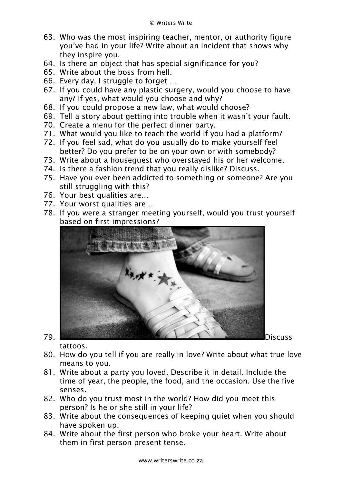- 63. Who was the most inspiring teacher, mentor, or authority figure you"ve had in your life? Write about an incident that shows why they inspire you.
- 64. Is there an object that has special significance for you?
- 65. Write about the boss from hell.
- 66. Every day, I struggle to forget …
- 67. If you could have any plastic surgery, would you choose to have any? If yes, what would you choose and why?
- 68. If you could propose a new law, what would choose?
- 69. Tell a story about getting into trouble when it wasn"t your fault.
- 70. Create a menu for the perfect dinner party.
- 71. What would you like to teach the world if you had a platform?
- 72. If you feel sad, what do you usually do to make yourself feel better? Do you prefer to be on your own or with somebody?
- 73. Write about a houseguest who overstayed his or her welcome.
- 74. Is there a fashion trend that you really dislike? Discuss.
- 75. Have you ever been addicted to something or someone? Are you still struggling with this?
- 76. Your best qualities are…
- 77. Your worst qualities are…
- 78. If you were a stranger meeting yourself, would you trust yourself based on first impressions?



tattoos.

- 80. How do you tell if you are really in love? Write about what true love means to you.
- 81. Write about a party you loved. Describe it in detail. Include the time of year, the people, the food, and the occasion. Use the five senses.
- 82. Who do you trust most in the world? How did you meet this person? Is he or she still in your life?
- 83. Write about the consequences of keeping quiet when you should have spoken up.
- 84. Write about the first person who broke your heart. Write about them in first person present tense.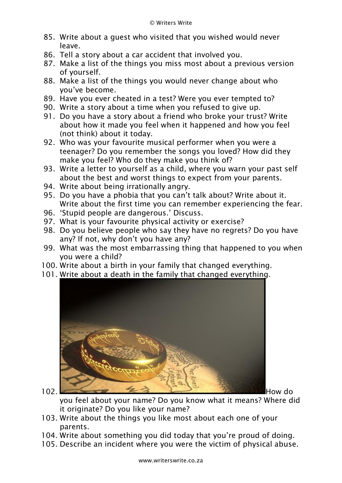- 85. Write about a guest who visited that you wished would never leave.
- 86. Tell a story about a car accident that involved you.
- 87. Make a list of the things you miss most about a previous version of yourself.
- 88. Make a list of the things you would never change about who you"ve become.
- 89. Have you ever cheated in a test? Were you ever tempted to?
- 90. Write a story about a time when you refused to give up.
- 91. Do you have a story about a friend who broke your trust? Write about how it made you feel when it happened and how you feel (not think) about it today.
- 92. Who was your favourite musical performer when you were a teenager? Do you remember the songs you loved? How did they make you feel? Who do they make you think of?
- 93. Write a letter to yourself as a child, where you warn your past self about the best and worst things to expect from your parents.
- 94. Write about being irrationally angry.
- 95. Do you have a phobia that you can"t talk about? Write about it. Write about the first time you can remember experiencing the fear.
- 96. "Stupid people are dangerous." Discuss.
- 97. What is your favourite physical activity or exercise?
- 98. Do you believe people who say they have no regrets? Do you have any? If not, why don't you have any?
- 99. What was the most embarrassing thing that happened to you when you were a child?
- 100. Write about a birth in your family that changed everything.
- 101. Write about a death in the family that changed everything.



you feel about your name? Do you know what it means? Where did it originate? Do you like your name?

- 103. Write about the things you like most about each one of your parents.
- 104. Write about something you did today that you"re proud of doing.
- 105. Describe an incident where you were the victim of physical abuse.